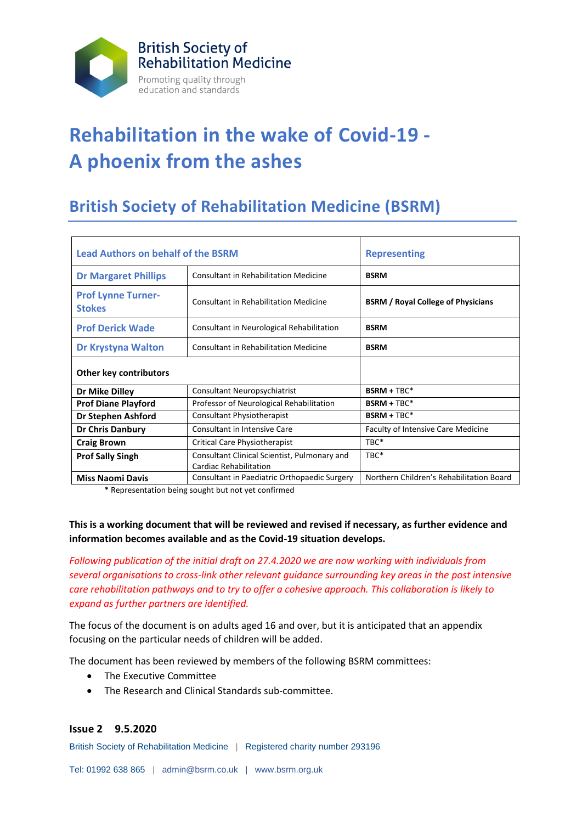

# **Rehabilitation in the wake of Covid-19 - A phoenix from the ashes**

# **British Society of Rehabilitation Medicine (BSRM)**

| <b>Lead Authors on behalf of the BSRM</b>  | <b>Representing</b>                       |               |  |
|--------------------------------------------|-------------------------------------------|---------------|--|
| <b>Dr Margaret Phillips</b>                | <b>BSRM</b>                               |               |  |
| <b>Prof Lynne Turner-</b><br><b>Stokes</b> | <b>BSRM</b> / Royal College of Physicians |               |  |
| <b>Prof Derick Wade</b>                    | <b>BSRM</b>                               |               |  |
| <b>Dr Krystyna Walton</b>                  | <b>BSRM</b>                               |               |  |
| <b>Other key contributors</b>              |                                           |               |  |
| Dr Mike Dilley                             | <b>Consultant Neuropsychiatrist</b>       | $BSRM + TBC*$ |  |
| <b>Prof Diane Playford</b>                 | Professor of Neurological Rehabilitation  | $BSRM + TBC*$ |  |
| Dr Stephen Ashford                         | Consultant Physiotherapist                | $BSRM + TBC*$ |  |
| <b>Dr Chris Danbury</b>                    | <b>Faculty of Intensive Care Medicine</b> |               |  |
| <b>Craig Brown</b>                         | TBC*                                      |               |  |
| <b>Prof Sally Singh</b>                    | TBC*                                      |               |  |
| <b>Miss Naomi Davis</b>                    | Northern Children's Rehabilitation Board  |               |  |

\* Representation being sought but not yet confirmed

#### **This is a working document that will be reviewed and revised if necessary, as further evidence and information becomes available and as the Covid-19 situation develops.**

*Following publication of the initial draft on 27.4.2020 we are now working with individuals from several organisations to cross-link other relevant guidance surrounding key areas in the post intensive care rehabilitation pathways and to try to offer a cohesive approach. This collaboration is likely to expand as further partners are identified.*

The focus of the document is on adults aged 16 and over, but it is anticipated that an appendix focusing on the particular needs of children will be added.

The document has been reviewed by members of the following BSRM committees:

- The Executive Committee
- The Research and Clinical Standards sub-committee.

#### **Issue 2 9.5.2020**

British Society of Rehabilitation Medicine | Registered charity number 293196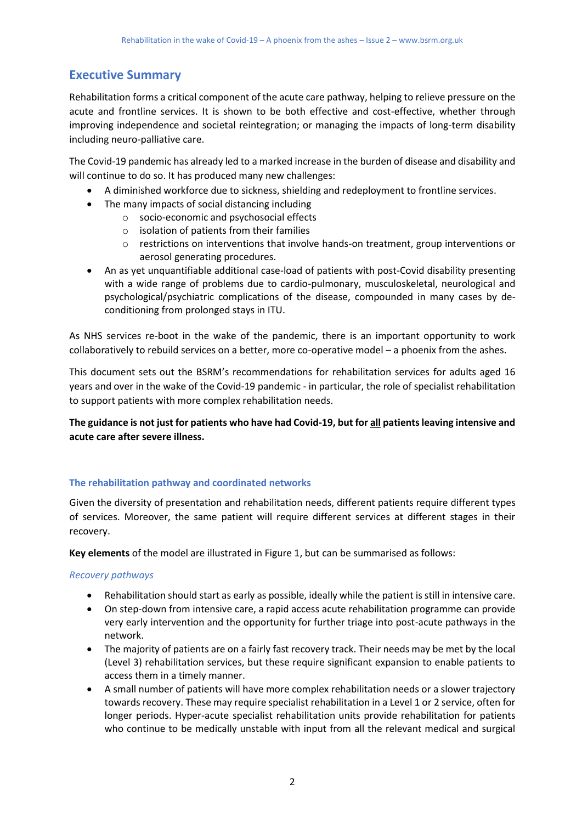# **Executive Summary**

Rehabilitation forms a critical component of the acute care pathway, helping to relieve pressure on the acute and frontline services. It is shown to be both effective and cost-effective, whether through improving independence and societal reintegration; or managing the impacts of long-term disability including neuro-palliative care.

The Covid-19 pandemic has already led to a marked increase in the burden of disease and disability and will continue to do so. It has produced many new challenges:

- A diminished workforce due to sickness, shielding and redeployment to frontline services.
- The many impacts of social distancing including
	- o socio-economic and psychosocial effects
	- o isolation of patients from their families
	- $\circ$  restrictions on interventions that involve hands-on treatment, group interventions or aerosol generating procedures.
- An as yet unquantifiable additional case-load of patients with post-Covid disability presenting with a wide range of problems due to cardio-pulmonary, musculoskeletal, neurological and psychological/psychiatric complications of the disease, compounded in many cases by deconditioning from prolonged stays in ITU.

As NHS services re-boot in the wake of the pandemic, there is an important opportunity to work collaboratively to rebuild services on a better, more co-operative model – a phoenix from the ashes.

This document sets out the BSRM's recommendations for rehabilitation services for adults aged 16 years and over in the wake of the Covid-19 pandemic - in particular, the role of specialist rehabilitation to support patients with more complex rehabilitation needs.

**The guidance is not just for patients who have had Covid-19, but for all patients leaving intensive and acute care after severe illness.**

#### **The rehabilitation pathway and coordinated networks**

Given the diversity of presentation and rehabilitation needs, different patients require different types of services. Moreover, the same patient will require different services at different stages in their recovery.

**Key elements** of the model are illustrated in Figure 1, but can be summarised as follows:

#### *Recovery pathways*

- Rehabilitation should start as early as possible, ideally while the patient is still in intensive care.
- On step-down from intensive care, a rapid access acute rehabilitation programme can provide very early intervention and the opportunity for further triage into post-acute pathways in the network.
- The majority of patients are on a fairly fast recovery track. Their needs may be met by the local (Level 3) rehabilitation services, but these require significant expansion to enable patients to access them in a timely manner.
- A small number of patients will have more complex rehabilitation needs or a slower trajectory towards recovery. These may require specialist rehabilitation in a Level 1 or 2 service, often for longer periods. Hyper-acute specialist rehabilitation units provide rehabilitation for patients who continue to be medically unstable with input from all the relevant medical and surgical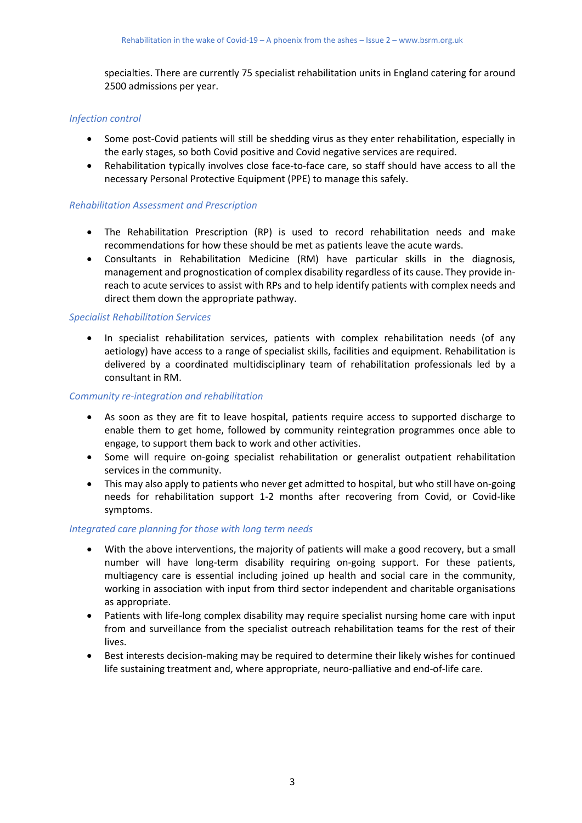specialties. There are currently 75 specialist rehabilitation units in England catering for around 2500 admissions per year.

#### *Infection control*

- Some post-Covid patients will still be shedding virus as they enter rehabilitation, especially in the early stages, so both Covid positive and Covid negative services are required.
- Rehabilitation typically involves close face-to-face care, so staff should have access to all the necessary Personal Protective Equipment (PPE) to manage this safely.

#### *Rehabilitation Assessment and Prescription*

- The Rehabilitation Prescription (RP) is used to record rehabilitation needs and make recommendations for how these should be met as patients leave the acute wards.
- Consultants in Rehabilitation Medicine (RM) have particular skills in the diagnosis, management and prognostication of complex disability regardless of its cause. They provide inreach to acute services to assist with RPs and to help identify patients with complex needs and direct them down the appropriate pathway.

#### *Specialist Rehabilitation Services*

• In specialist rehabilitation services, patients with complex rehabilitation needs (of any aetiology) have access to a range of specialist skills, facilities and equipment. Rehabilitation is delivered by a coordinated multidisciplinary team of rehabilitation professionals led by a consultant in RM.

#### *Community re-integration and rehabilitation*

- As soon as they are fit to leave hospital, patients require access to supported discharge to enable them to get home, followed by community reintegration programmes once able to engage, to support them back to work and other activities.
- Some will require on-going specialist rehabilitation or generalist outpatient rehabilitation services in the community.
- This may also apply to patients who never get admitted to hospital, but who still have on-going needs for rehabilitation support 1-2 months after recovering from Covid, or Covid-like symptoms.

#### *Integrated care planning for those with long term needs*

- With the above interventions, the majority of patients will make a good recovery, but a small number will have long-term disability requiring on-going support. For these patients, multiagency care is essential including joined up health and social care in the community, working in association with input from third sector independent and charitable organisations as appropriate.
- Patients with life-long complex disability may require specialist nursing home care with input from and surveillance from the specialist outreach rehabilitation teams for the rest of their lives.
- Best interests decision-making may be required to determine their likely wishes for continued life sustaining treatment and, where appropriate, neuro-palliative and end-of-life care.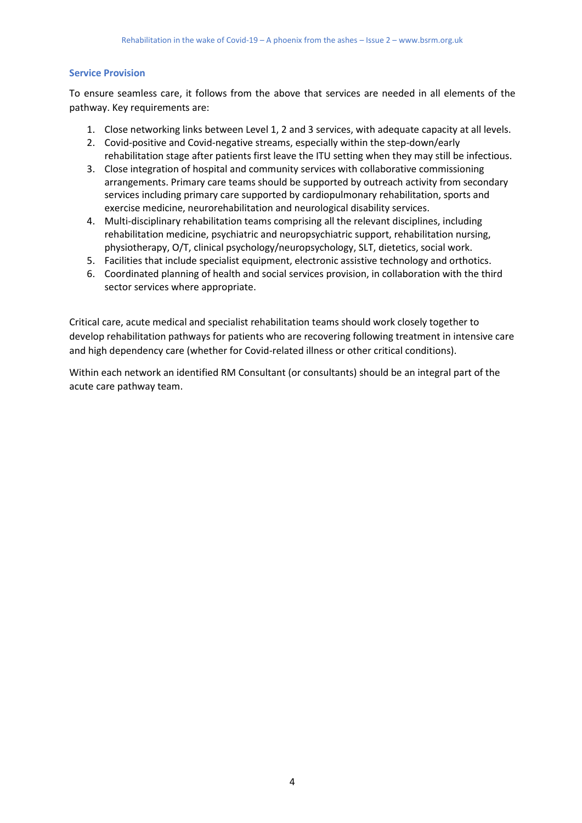#### **Service Provision**

To ensure seamless care, it follows from the above that services are needed in all elements of the pathway. Key requirements are:

- 1. Close networking links between Level 1, 2 and 3 services, with adequate capacity at all levels.
- 2. Covid-positive and Covid-negative streams, especially within the step-down/early rehabilitation stage after patients first leave the ITU setting when they may still be infectious.
- 3. Close integration of hospital and community services with collaborative commissioning arrangements. Primary care teams should be supported by outreach activity from secondary services including primary care supported by cardiopulmonary rehabilitation, sports and exercise medicine, neurorehabilitation and neurological disability services.
- 4. Multi-disciplinary rehabilitation teams comprising all the relevant disciplines, including rehabilitation medicine, psychiatric and neuropsychiatric support, rehabilitation nursing, physiotherapy, O/T, clinical psychology/neuropsychology, SLT, dietetics, social work.
- 5. Facilities that include specialist equipment, electronic assistive technology and orthotics.
- 6. Coordinated planning of health and social services provision, in collaboration with the third sector services where appropriate.

Critical care, acute medical and specialist rehabilitation teams should work closely together to develop rehabilitation pathways for patients who are recovering following treatment in intensive care and high dependency care (whether for Covid-related illness or other critical conditions).

Within each network an identified RM Consultant (or consultants) should be an integral part of the acute care pathway team.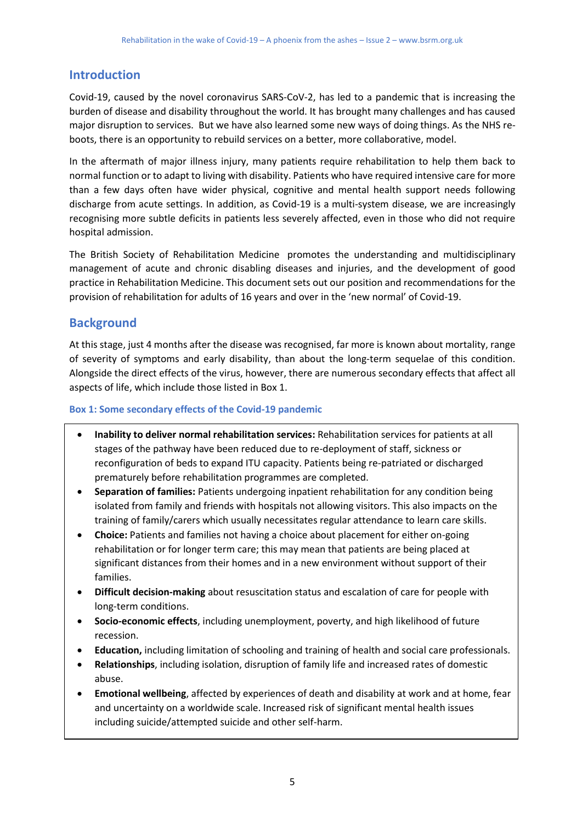### **Introduction**

Covid-19, caused by the novel coronavirus SARS-CoV-2, has led to a pandemic that is increasing the burden of disease and disability throughout the world. It has brought many challenges and has caused major disruption to services. But we have also learned some new ways of doing things. As the NHS reboots, there is an opportunity to rebuild services on a better, more collaborative, model.

In the aftermath of major illness injury, many patients require rehabilitation to help them back to normal function or to adapt to living with disability. Patients who have required intensive care for more than a few days often have wider physical, cognitive and mental health support needs following discharge from acute settings. In addition, as Covid-19 is a multi-system disease, we are increasingly recognising more subtle deficits in patients less severely affected, even in those who did not require hospital admission.

The British Society of Rehabilitation Medicine promotes the understanding and multidisciplinary management of acute and chronic disabling diseases and injuries, and the development of good practice in Rehabilitation Medicine. This document sets out our position and recommendations for the provision of rehabilitation for adults of 16 years and over in the 'new normal' of Covid-19.

### **Background**

At this stage, just 4 months after the disease was recognised, far more is known about mortality, range of severity of symptoms and early disability, than about the long-term sequelae of this condition. Alongside the direct effects of the virus, however, there are numerous secondary effects that affect all aspects of life, which include those listed in Box 1.

#### **Box 1: Some secondary effects of the Covid-19 pandemic**

- **Inability to deliver normal rehabilitation services:** Rehabilitation services for patients at all stages of the pathway have been reduced due to re-deployment of staff, sickness or reconfiguration of beds to expand ITU capacity. Patients being re-patriated or discharged prematurely before rehabilitation programmes are completed.
- **Separation of families:** Patients undergoing inpatient rehabilitation for any condition being isolated from family and friends with hospitals not allowing visitors. This also impacts on the training of family/carers which usually necessitates regular attendance to learn care skills.
- **Choice:** Patients and families not having a choice about placement for either on-going rehabilitation or for longer term care; this may mean that patients are being placed at significant distances from their homes and in a new environment without support of their families.
- **Difficult decision-making** about resuscitation status and escalation of care for people with long-term conditions.
- **Socio-economic effects**, including unemployment, poverty, and high likelihood of future recession.
- **Education,** including limitation of schooling and training of health and social care professionals.
- **Relationships**, including isolation, disruption of family life and increased rates of domestic abuse.
- **Emotional wellbeing**, affected by experiences of death and disability at work and at home, fear and uncertainty on a worldwide scale. Increased risk of significant mental health issues including suicide/attempted suicide and other self-harm.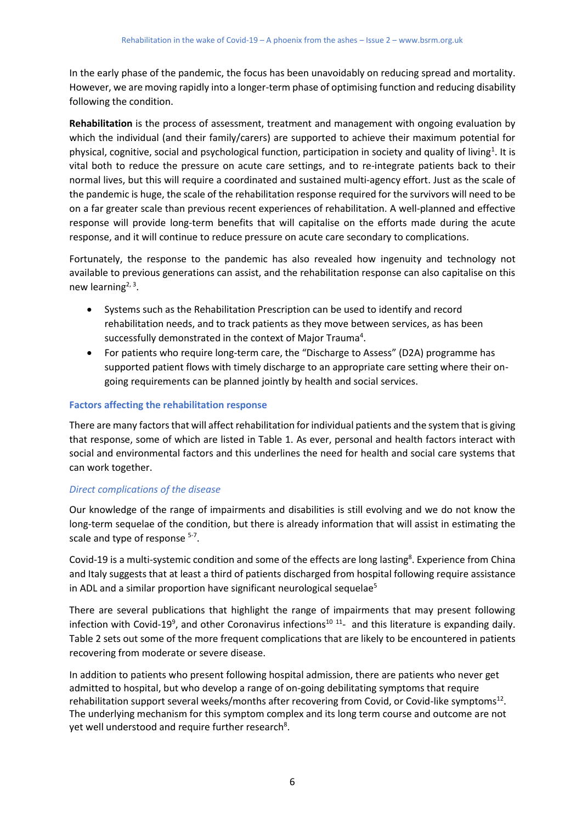In the early phase of the pandemic, the focus has been unavoidably on reducing spread and mortality. However, we are moving rapidly into a longer-term phase of optimising function and reducing disability following the condition.

**Rehabilitation** is the process of assessment, treatment and management with ongoing evaluation by which the individual (and their family/carers) are supported to achieve their maximum potential for physical, cognitive, social and psychological function, participation in society and quality of living<sup>1</sup>. It is vital both to reduce the pressure on acute care settings, and to re-integrate patients back to their normal lives, but this will require a coordinated and sustained multi-agency effort. Just as the scale of the pandemic is huge, the scale of the rehabilitation response required for the survivors will need to be on a far greater scale than previous recent experiences of rehabilitation. A well-planned and effective response will provide long-term benefits that will capitalise on the efforts made during the acute response, and it will continue to reduce pressure on acute care secondary to complications.

Fortunately, the response to the pandemic has also revealed how ingenuity and technology not available to previous generations can assist, and the rehabilitation response can also capitalise on this new learning<sup>2, 3</sup>.

- Systems such as the Rehabilitation Prescription can be used to identify and record rehabilitation needs, and to track patients as they move between services, as has been successfully demonstrated in the context of Major Trauma<sup>4</sup>.
- For patients who require long-term care, the "Discharge to Assess" (D2A) programme has supported patient flows with timely discharge to an appropriate care setting where their ongoing requirements can be planned jointly by health and social services.

#### **Factors affecting the rehabilitation response**

There are many factors that will affect rehabilitation for individual patients and the system that is giving that response, some of which are listed in Table 1. As ever, personal and health factors interact with social and environmental factors and this underlines the need for health and social care systems that can work together.

#### *Direct complications of the disease*

Our knowledge of the range of impairments and disabilities is still evolving and we do not know the long-term sequelae of the condition, but there is already information that will assist in estimating the scale and type of response <sup>5-7</sup>.

Covid-19 is a multi-systemic condition and some of the effects are long lasting<sup>8</sup>. Experience from China and Italy suggests that at least a third of patients discharged from hospital following require assistance in ADL and a similar proportion have significant neurological sequelae<sup>5</sup>

There are several publications that highlight the range of impairments that may present following infection with Covid-19<sup>9</sup>, and other Coronavirus infections<sup>10 11</sup>- and this literature is expanding daily. Table 2 sets out some of the more frequent complications that are likely to be encountered in patients recovering from moderate or severe disease.

In addition to patients who present following hospital admission, there are patients who never get admitted to hospital, but who develop a range of on-going debilitating symptoms that require rehabilitation support several weeks/months after recovering from Covid, or Covid-like symptoms<sup>12</sup>. The underlying mechanism for this symptom complex and its long term course and outcome are not yet well understood and require further research<sup>8</sup>.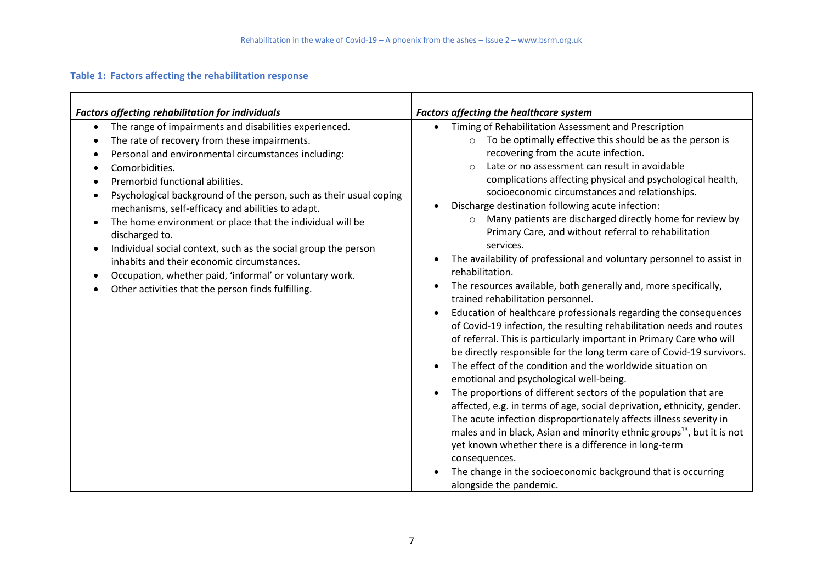# **Table 1: Factors affecting the rehabilitation response**

| <b>Factors affecting rehabilitation for individuals</b><br>The range of impairments and disabilities experienced.<br>$\bullet$<br>The rate of recovery from these impairments.<br>Personal and environmental circumstances including:<br>Comorbidities.<br>Premorbid functional abilities.<br>Psychological background of the person, such as their usual coping<br>mechanisms, self-efficacy and abilities to adapt.<br>The home environment or place that the individual will be<br>discharged to.<br>Individual social context, such as the social group the person<br>$\bullet$<br>inhabits and their economic circumstances.<br>Occupation, whether paid, 'informal' or voluntary work.<br>Other activities that the person finds fulfilling. | <b>Factors affecting the healthcare system</b><br>Timing of Rehabilitation Assessment and Prescription<br>$\bullet$<br>To be optimally effective this should be as the person is<br>$\circ$<br>recovering from the acute infection.<br>Late or no assessment can result in avoidable<br>$\circ$<br>complications affecting physical and psychological health,<br>socioeconomic circumstances and relationships.<br>Discharge destination following acute infection:<br>Many patients are discharged directly home for review by<br>$\circ$<br>Primary Care, and without referral to rehabilitation<br>services.<br>The availability of professional and voluntary personnel to assist in<br>rehabilitation.<br>The resources available, both generally and, more specifically,<br>trained rehabilitation personnel.<br>Education of healthcare professionals regarding the consequences<br>of Covid-19 infection, the resulting rehabilitation needs and routes<br>of referral. This is particularly important in Primary Care who will<br>be directly responsible for the long term care of Covid-19 survivors.<br>The effect of the condition and the worldwide situation on<br>emotional and psychological well-being.<br>The proportions of different sectors of the population that are<br>affected, e.g. in terms of age, social deprivation, ethnicity, gender.<br>The acute infection disproportionately affects illness severity in<br>males and in black, Asian and minority ethnic groups <sup>13</sup> , but it is not<br>yet known whether there is a difference in long-term<br>consequences.<br>The change in the socioeconomic background that is occurring<br>alongside the pandemic. |
|----------------------------------------------------------------------------------------------------------------------------------------------------------------------------------------------------------------------------------------------------------------------------------------------------------------------------------------------------------------------------------------------------------------------------------------------------------------------------------------------------------------------------------------------------------------------------------------------------------------------------------------------------------------------------------------------------------------------------------------------------|--------------------------------------------------------------------------------------------------------------------------------------------------------------------------------------------------------------------------------------------------------------------------------------------------------------------------------------------------------------------------------------------------------------------------------------------------------------------------------------------------------------------------------------------------------------------------------------------------------------------------------------------------------------------------------------------------------------------------------------------------------------------------------------------------------------------------------------------------------------------------------------------------------------------------------------------------------------------------------------------------------------------------------------------------------------------------------------------------------------------------------------------------------------------------------------------------------------------------------------------------------------------------------------------------------------------------------------------------------------------------------------------------------------------------------------------------------------------------------------------------------------------------------------------------------------------------------------------------------------------------------------------------------------------------------------------------------|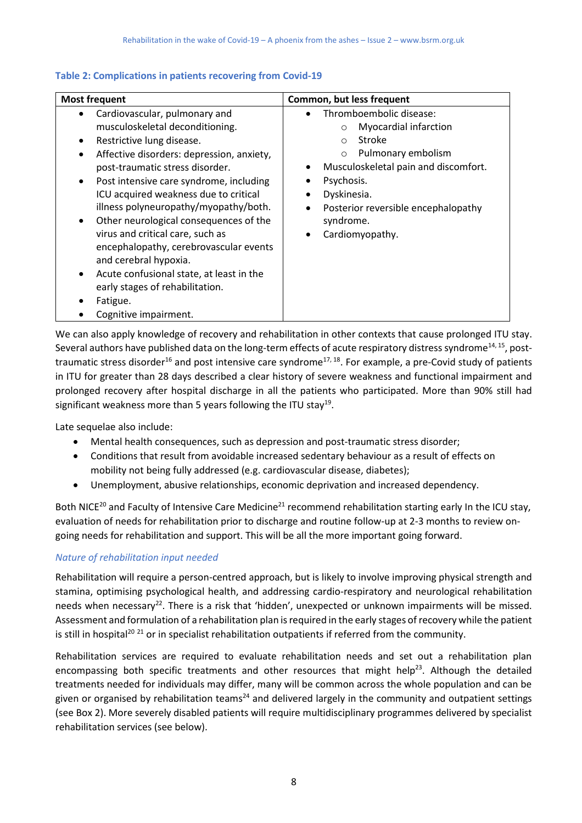#### **Table 2: Complications in patients recovering from Covid-19**

| <b>Most frequent</b>                                                                                                                                                                                                                                                                                                                                                                                                                                                                                                                                                                                                                                  | Common, but less frequent                                                                                                                                                                                                                                                                                  |
|-------------------------------------------------------------------------------------------------------------------------------------------------------------------------------------------------------------------------------------------------------------------------------------------------------------------------------------------------------------------------------------------------------------------------------------------------------------------------------------------------------------------------------------------------------------------------------------------------------------------------------------------------------|------------------------------------------------------------------------------------------------------------------------------------------------------------------------------------------------------------------------------------------------------------------------------------------------------------|
| Cardiovascular, pulmonary and<br>$\bullet$<br>musculoskeletal deconditioning.<br>Restrictive lung disease.<br>٠<br>Affective disorders: depression, anxiety,<br>$\bullet$<br>post-traumatic stress disorder.<br>Post intensive care syndrome, including<br>$\bullet$<br>ICU acquired weakness due to critical<br>illness polyneuropathy/myopathy/both.<br>Other neurological consequences of the<br>$\bullet$<br>virus and critical care, such as<br>encephalopathy, cerebrovascular events<br>and cerebral hypoxia.<br>Acute confusional state, at least in the<br>$\bullet$<br>early stages of rehabilitation.<br>Fatigue.<br>Cognitive impairment. | Thromboembolic disease:<br>٠<br>Myocardial infarction<br>$\Omega$<br>Stroke<br>$\bigcirc$<br>Pulmonary embolism<br>$\circ$<br>Musculoskeletal pain and discomfort.<br>٠<br>Psychosis.<br>٠<br>Dyskinesia.<br>Posterior reversible encephalopathy<br>$\bullet$<br>syndrome.<br>Cardiomyopathy.<br>$\bullet$ |

We can also apply knowledge of recovery and rehabilitation in other contexts that cause prolonged ITU stay. Several authors have published data on the long-term effects of acute respiratory distress syndrome<sup>14, 15</sup>, posttraumatic stress disorder<sup>16</sup> and post intensive care syndrome<sup>17, 18</sup>. For example, a pre-Covid study of patients in ITU for greater than 28 days described a clear history of severe weakness and functional impairment and prolonged recovery after hospital discharge in all the patients who participated. More than 90% still had significant weakness more than 5 years following the ITU stay $^{19}$ .

Late sequelae also include:

- Mental health consequences, such as depression and post-traumatic stress disorder;
- Conditions that result from avoidable increased sedentary behaviour as a result of effects on mobility not being fully addressed (e.g. cardiovascular disease, diabetes);
- Unemployment, abusive relationships, economic deprivation and increased dependency.

Both NICE<sup>20</sup> and Faculty of Intensive Care Medicine<sup>21</sup> recommend rehabilitation starting early In the ICU stay, evaluation of needs for rehabilitation prior to discharge and routine follow-up at 2-3 months to review ongoing needs for rehabilitation and support. This will be all the more important going forward.

#### *Nature of rehabilitation input needed*

Rehabilitation will require a person-centred approach, but is likely to involve improving physical strength and stamina, optimising psychological health, and addressing cardio-respiratory and neurological rehabilitation needs when necessary<sup>22</sup>. There is a risk that 'hidden', unexpected or unknown impairments will be missed. Assessment and formulation of a rehabilitation plan is required in the early stages of recovery while the patient is still in hospital<sup>20 21</sup> or in specialist rehabilitation outpatients if referred from the community.

Rehabilitation services are required to evaluate rehabilitation needs and set out a rehabilitation plan encompassing both specific treatments and other resources that might help<sup>23</sup>. Although the detailed treatments needed for individuals may differ, many will be common across the whole population and can be given or organised by rehabilitation teams<sup>24</sup> and delivered largely in the community and outpatient settings (see Box 2). More severely disabled patients will require multidisciplinary programmes delivered by specialist rehabilitation services (see below).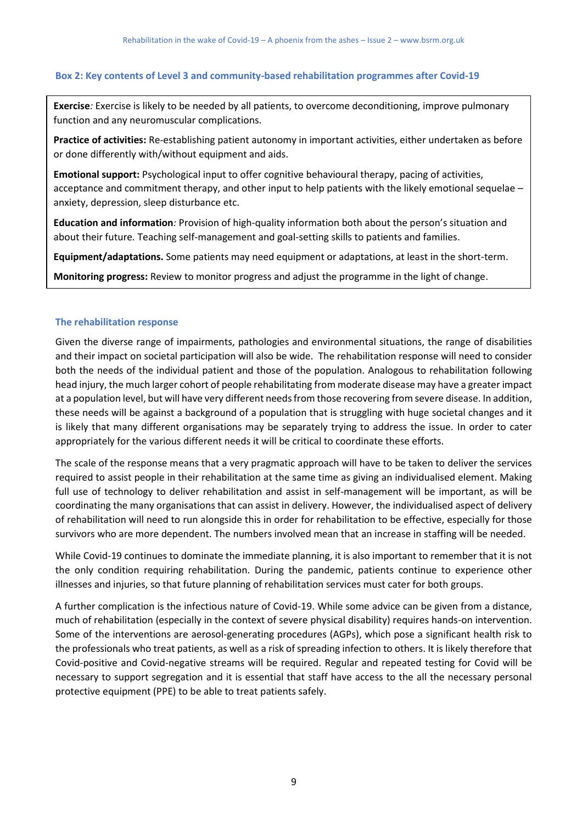#### **Box 2: Key contents of Level 3 and community-based rehabilitation programmes after Covid-19**

**Exercise***:* Exercise is likely to be needed by all patients, to overcome deconditioning, improve pulmonary function and any neuromuscular complications.

**Practice of activities:** Re-establishing patient autonomy in important activities, either undertaken as before or done differently with/without equipment and aids.

**Emotional support:** Psychological input to offer cognitive behavioural therapy, pacing of activities, acceptance and commitment therapy, and other input to help patients with the likely emotional sequelae – anxiety, depression, sleep disturbance etc.

**Education and information***:* Provision of high-quality information both about the person's situation and about their future*.* Teaching self-management and goal-setting skills to patients and families.

**Equipment/adaptations.** Some patients may need equipment or adaptations, at least in the short-term.

**Monitoring progress:** Review to monitor progress and adjust the programme in the light of change.

#### **The rehabilitation response** management, spasticity management, help with cognitive difficulties etc.

Given the diverse range of impairments, pathologies and environmental situations, the range of disabilities and their impact on societal participation will also be wide. The rehabilitation response will need to consider both the needs of the individual patient and those of the population. Analogous to rehabilitation following head injury, the much larger cohort of people rehabilitating from moderate disease may have a greater impact at a population level, but will have very different needs from those recovering from severe disease. In addition, these needs will be against a background of a population that is struggling with huge societal changes and it is likely that many different organisations may be separately trying to address the issue. In order to cater appropriately for the various different needs it will be critical to coordinate these efforts.

The scale of the response means that a very pragmatic approach will have to be taken to deliver the services required to assist people in their rehabilitation at the same time as giving an individualised element. Making full use of technology to deliver rehabilitation and assist in self-management will be important, as will be coordinating the many organisations that can assist in delivery. However, the individualised aspect of delivery of rehabilitation will need to run alongside this in order for rehabilitation to be effective, especially for those survivors who are more dependent. The numbers involved mean that an increase in staffing will be needed.

While Covid-19 continues to dominate the immediate planning, it is also important to remember that it is not the only condition requiring rehabilitation. During the pandemic, patients continue to experience other illnesses and injuries, so that future planning of rehabilitation services must cater for both groups.

A further complication is the infectious nature of Covid-19. While some advice can be given from a distance, much of rehabilitation (especially in the context of severe physical disability) requires hands-on intervention. Some of the interventions are aerosol-generating procedures (AGPs), which pose a significant health risk to the professionals who treat patients, as well as a risk of spreading infection to others. It is likely therefore that Covid-positive and Covid-negative streams will be required. Regular and repeated testing for Covid will be necessary to support segregation and it is essential that staff have access to the all the necessary personal protective equipment (PPE) to be able to treat patients safely.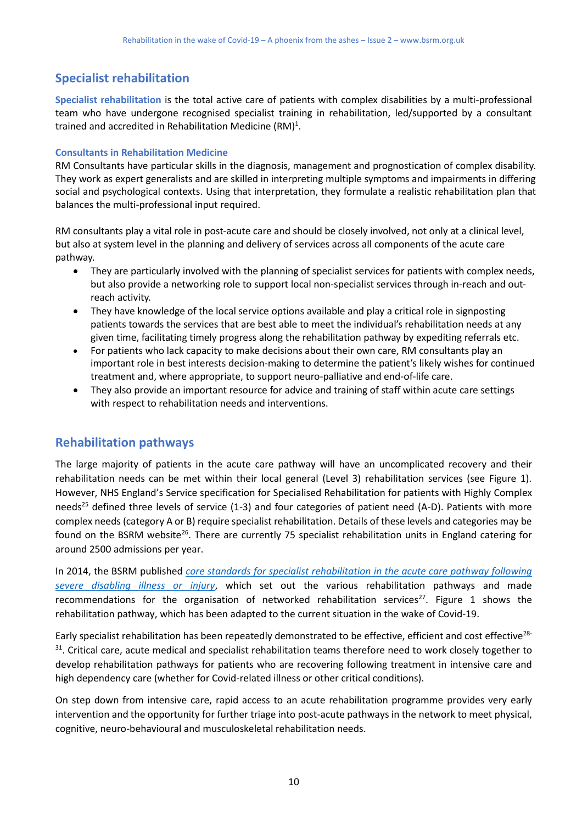## **Specialist rehabilitation**

**Specialist rehabilitation** is the total active care of patients with complex disabilities by a multi-professional team who have undergone recognised specialist training in rehabilitation, led/supported by a consultant trained and accredited in Rehabilitation Medicine  $(\mathsf{RM})^1$ .

#### **Consultants in Rehabilitation Medicine**

RM Consultants have particular skills in the diagnosis, management and prognostication of complex disability. They work as expert generalists and are skilled in interpreting multiple symptoms and impairments in differing social and psychological contexts. Using that interpretation, they formulate a realistic rehabilitation plan that balances the multi-professional input required.

RM consultants play a vital role in post-acute care and should be closely involved, not only at a clinical level, but also at system level in the planning and delivery of services across all components of the acute care pathway.

- They are particularly involved with the planning of specialist services for patients with complex needs, but also provide a networking role to support local non-specialist services through in-reach and outreach activity.
- They have knowledge of the local service options available and play a critical role in signposting patients towards the services that are best able to meet the individual's rehabilitation needs at any given time, facilitating timely progress along the rehabilitation pathway by expediting referrals etc.
- For patients who lack capacity to make decisions about their own care, RM consultants play an important role in best interests decision-making to determine the patient's likely wishes for continued treatment and, where appropriate, to support neuro-palliative and end-of-life care.
- They also provide an important resource for advice and training of staff within acute care settings with respect to rehabilitation needs and interventions.

### **Rehabilitation pathways**

The large majority of patients in the acute care pathway will have an uncomplicated recovery and their rehabilitation needs can be met within their local general (Level 3) rehabilitation services (see Figure 1). However, NHS England's Service specification for Specialised Rehabilitation for patients with Highly Complex needs<sup>25</sup> defined three levels of service (1-3) and four categories of patient need (A-D). Patients with more complex needs (category A or B) require specialist rehabilitation. Details of these levels and categories may be found on the BSRM website<sup>26</sup>. There are currently 75 specialist rehabilitation units in England catering for around 2500 admissions per year.

In 2014, the BSRM published *[core standards for specialist rehabilitation](https://www.bsrm.org.uk/downloads/specialist-rehabilitation-prescription-for-acute-care-28-11-2014-ja--(ap1-redrawn).pdf) in the acute care pathway following [severe disabling illness or injury](https://www.bsrm.org.uk/downloads/specialist-rehabilitation-prescription-for-acute-care-28-11-2014-ja--(ap1-redrawn).pdf)*, which set out the various rehabilitation pathways and made recommendations for the organisation of networked rehabilitation services<sup>27</sup>. Figure 1 shows the rehabilitation pathway, which has been adapted to the current situation in the wake of Covid-19.

Early specialist rehabilitation has been repeatedly demonstrated to be effective, efficient and cost effective<sup>28-</sup>  $31$ . Critical care, acute medical and specialist rehabilitation teams therefore need to work closely together to develop rehabilitation pathways for patients who are recovering following treatment in intensive care and high dependency care (whether for Covid-related illness or other critical conditions).

On step down from intensive care, rapid access to an acute rehabilitation programme provides very early intervention and the opportunity for further triage into post-acute pathways in the network to meet physical, cognitive, neuro-behavioural and musculoskeletal rehabilitation needs.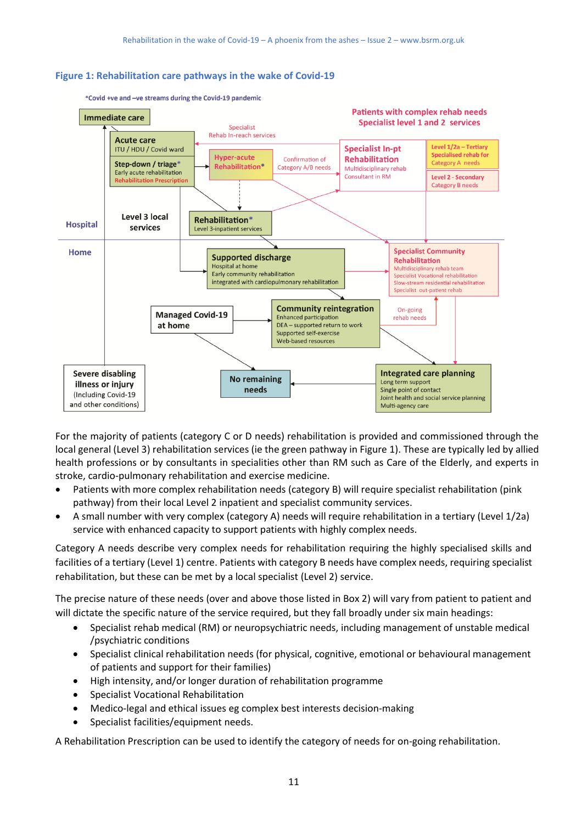

#### **Figure 1: Rehabilitation care pathways in the wake of Covid-19**

For the majority of patients (category C or D needs) rehabilitation is provided and commissioned through the local general (Level 3) rehabilitation services (ie the green pathway in Figure 1). These are typically led by allied health professions or by consultants in specialities other than RM such as Care of the Elderly, and experts in stroke, cardio-pulmonary rehabilitation and exercise medicine.

- Patients with more complex rehabilitation needs (category B) will require specialist rehabilitation (pink pathway) from their local Level 2 inpatient and specialist community services.
- A small number with very complex (category A) needs will require rehabilitation in a tertiary (Level 1/2a) service with enhanced capacity to support patients with highly complex needs.

Category A needs describe very complex needs for rehabilitation requiring the highly specialised skills and facilities of a tertiary (Level 1) centre. Patients with category B needs have complex needs, requiring specialist rehabilitation, but these can be met by a local specialist (Level 2) service.

The precise nature of these needs (over and above those listed in Box 2) will vary from patient to patient and will dictate the specific nature of the service required, but they fall broadly under six main headings:

- Specialist rehab medical (RM) or neuropsychiatric needs, including management of unstable medical /psychiatric conditions
- Specialist clinical rehabilitation needs (for physical, cognitive, emotional or behavioural management of patients and support for their families)
- High intensity, and/or longer duration of rehabilitation programme
- Specialist Vocational Rehabilitation
- Medico-legal and ethical issues eg complex best interests decision-making
- Specialist facilities/equipment needs.

A Rehabilitation Prescription can be used to identify the category of needs for on-going rehabilitation.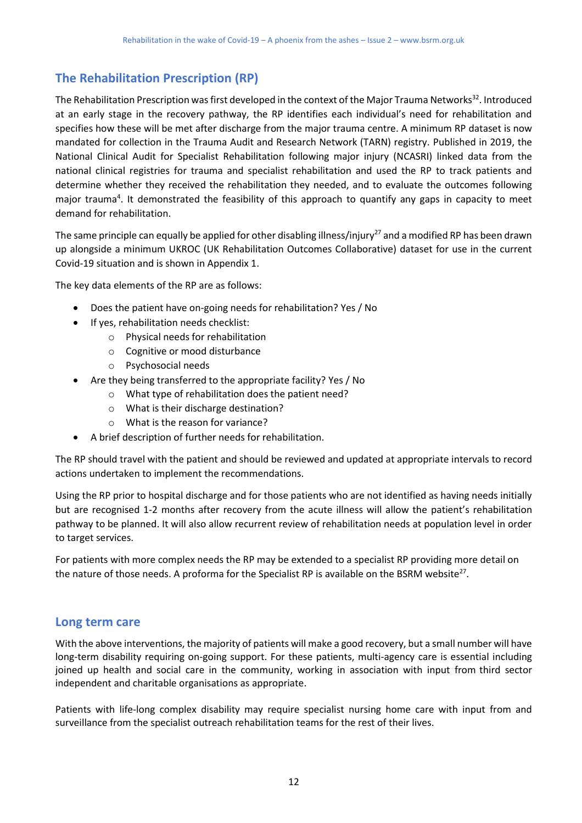# **The Rehabilitation Prescription (RP)**

The Rehabilitation Prescription was first developed in the context of the Major Trauma Networks $^{32}$ . Introduced at an early stage in the recovery pathway, the RP identifies each individual's need for rehabilitation and specifies how these will be met after discharge from the major trauma centre. A minimum RP dataset is now mandated for collection in the Trauma Audit and Research Network (TARN) registry. Published in 2019, the National Clinical Audit for Specialist Rehabilitation following major injury (NCASRI) linked data from the national clinical registries for trauma and specialist rehabilitation and used the RP to track patients and determine whether they received the rehabilitation they needed, and to evaluate the outcomes following major trauma<sup>4</sup>. It demonstrated the feasibility of this approach to quantify any gaps in capacity to meet demand for rehabilitation.

The same principle can equally be applied for other disabling illness/injury<sup>27</sup> and a modified RP has been drawn up alongside a minimum UKROC (UK Rehabilitation Outcomes Collaborative) dataset for use in the current Covid-19 situation and is shown in Appendix 1.

The key data elements of the RP are as follows:

- Does the patient have on-going needs for rehabilitation? Yes / No
- If yes, rehabilitation needs checklist:
	- o Physical needs for rehabilitation
	- o Cognitive or mood disturbance
	- o Psychosocial needs
- Are they being transferred to the appropriate facility? Yes / No
	- o What type of rehabilitation does the patient need?
	- o What is their discharge destination?
	- o What is the reason for variance?
- A brief description of further needs for rehabilitation.

The RP should travel with the patient and should be reviewed and updated at appropriate intervals to record actions undertaken to implement the recommendations.

Using the RP prior to hospital discharge and for those patients who are not identified as having needs initially but are recognised 1-2 months after recovery from the acute illness will allow the patient's rehabilitation pathway to be planned. It will also allow recurrent review of rehabilitation needs at population level in order to target services.

For patients with more complex needs the RP may be extended to a specialist RP providing more detail on the nature of those needs. A proforma for the Specialist RP is available on the BSRM website<sup>27</sup>.

#### **Long term care**

With the above interventions, the majority of patients will make a good recovery, but a small number will have long-term disability requiring on-going support. For these patients, multi-agency care is essential including joined up health and social care in the community, working in association with input from third sector independent and charitable organisations as appropriate.

Patients with life-long complex disability may require specialist nursing home care with input from and surveillance from the specialist outreach rehabilitation teams for the rest of their lives.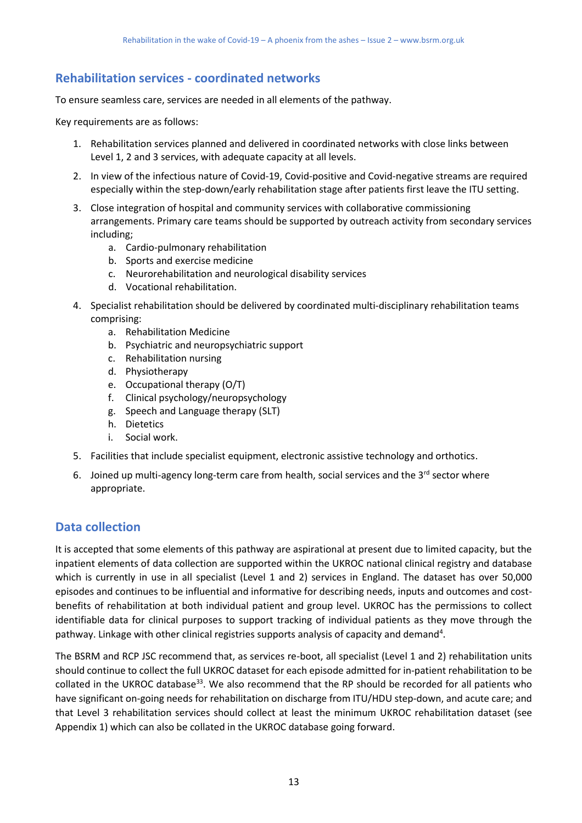### **Rehabilitation services - coordinated networks**

To ensure seamless care, services are needed in all elements of the pathway.

Key requirements are as follows:

- 1. Rehabilitation services planned and delivered in coordinated networks with close links between Level 1, 2 and 3 services, with adequate capacity at all levels.
- 2. In view of the infectious nature of Covid-19, Covid-positive and Covid-negative streams are required especially within the step-down/early rehabilitation stage after patients first leave the ITU setting.
- 3. Close integration of hospital and community services with collaborative commissioning arrangements. Primary care teams should be supported by outreach activity from secondary services including;
	- a. Cardio-pulmonary rehabilitation
	- b. Sports and exercise medicine
	- c. Neurorehabilitation and neurological disability services
	- d. Vocational rehabilitation.
- 4. Specialist rehabilitation should be delivered by coordinated multi-disciplinary rehabilitation teams comprising:
	- a. Rehabilitation Medicine
	- b. Psychiatric and neuropsychiatric support
	- c. Rehabilitation nursing
	- d. Physiotherapy
	- e. Occupational therapy (O/T)
	- f. Clinical psychology/neuropsychology
	- g. Speech and Language therapy (SLT)
	- h. Dietetics
	- i. Social work.
- 5. Facilities that include specialist equipment, electronic assistive technology and orthotics.
- 6. Joined up multi-agency long-term care from health, social services and the  $3^{rd}$  sector where appropriate.

### **Data collection**

It is accepted that some elements of this pathway are aspirational at present due to limited capacity, but the inpatient elements of data collection are supported within the UKROC national clinical registry and database which is currently in use in all specialist (Level 1 and 2) services in England. The dataset has over 50,000 episodes and continues to be influential and informative for describing needs, inputs and outcomes and costbenefits of rehabilitation at both individual patient and group level. UKROC has the permissions to collect identifiable data for clinical purposes to support tracking of individual patients as they move through the pathway. Linkage with other clinical registries supports analysis of capacity and demand<sup>4</sup>.

The BSRM and RCP JSC recommend that, as services re-boot, all specialist (Level 1 and 2) rehabilitation units should continue to collect the full UKROC dataset for each episode admitted for in-patient rehabilitation to be collated in the UKROC database<sup>33</sup>. We also recommend that the RP should be recorded for all patients who have significant on-going needs for rehabilitation on discharge from ITU/HDU step-down, and acute care; and that Level 3 rehabilitation services should collect at least the minimum UKROC rehabilitation dataset (see Appendix 1) which can also be collated in the UKROC database going forward.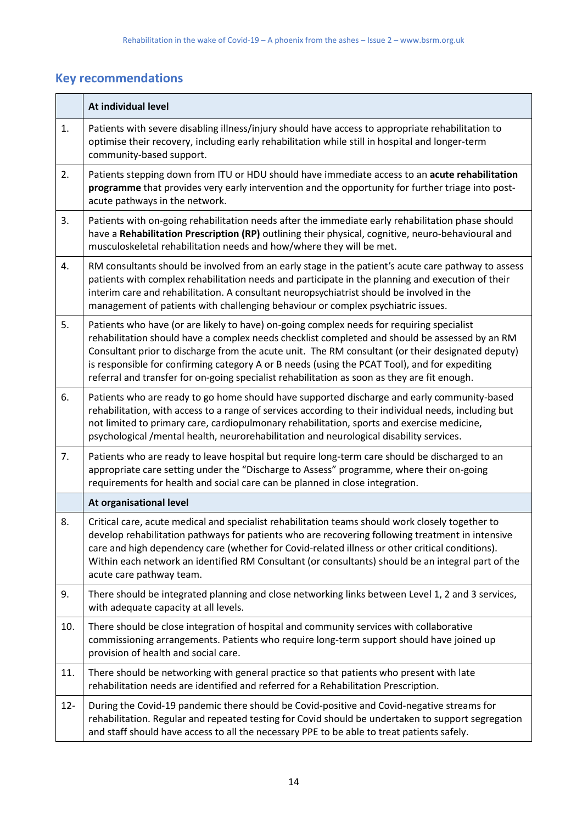# **Key recommendations**

|        | At individual level                                                                                                                                                                                                                                                                                                                                                                                                                                                                               |
|--------|---------------------------------------------------------------------------------------------------------------------------------------------------------------------------------------------------------------------------------------------------------------------------------------------------------------------------------------------------------------------------------------------------------------------------------------------------------------------------------------------------|
| 1.     | Patients with severe disabling illness/injury should have access to appropriate rehabilitation to<br>optimise their recovery, including early rehabilitation while still in hospital and longer-term<br>community-based support.                                                                                                                                                                                                                                                                  |
| 2.     | Patients stepping down from ITU or HDU should have immediate access to an acute rehabilitation<br>programme that provides very early intervention and the opportunity for further triage into post-<br>acute pathways in the network.                                                                                                                                                                                                                                                             |
| 3.     | Patients with on-going rehabilitation needs after the immediate early rehabilitation phase should<br>have a Rehabilitation Prescription (RP) outlining their physical, cognitive, neuro-behavioural and<br>musculoskeletal rehabilitation needs and how/where they will be met.                                                                                                                                                                                                                   |
| 4.     | RM consultants should be involved from an early stage in the patient's acute care pathway to assess<br>patients with complex rehabilitation needs and participate in the planning and execution of their<br>interim care and rehabilitation. A consultant neuropsychiatrist should be involved in the<br>management of patients with challenging behaviour or complex psychiatric issues.                                                                                                         |
| 5.     | Patients who have (or are likely to have) on-going complex needs for requiring specialist<br>rehabilitation should have a complex needs checklist completed and should be assessed by an RM<br>Consultant prior to discharge from the acute unit. The RM consultant (or their designated deputy)<br>is responsible for confirming category A or B needs (using the PCAT Tool), and for expediting<br>referral and transfer for on-going specialist rehabilitation as soon as they are fit enough. |
| 6.     | Patients who are ready to go home should have supported discharge and early community-based<br>rehabilitation, with access to a range of services according to their individual needs, including but<br>not limited to primary care, cardiopulmonary rehabilitation, sports and exercise medicine,<br>psychological /mental health, neurorehabilitation and neurological disability services.                                                                                                     |
| 7.     | Patients who are ready to leave hospital but require long-term care should be discharged to an<br>appropriate care setting under the "Discharge to Assess" programme, where their on-going<br>requirements for health and social care can be planned in close integration.                                                                                                                                                                                                                        |
|        | At organisational level                                                                                                                                                                                                                                                                                                                                                                                                                                                                           |
| 8.     | Critical care, acute medical and specialist rehabilitation teams should work closely together to<br>develop rehabilitation pathways for patients who are recovering following treatment in intensive<br>care and high dependency care (whether for Covid-related illness or other critical conditions).<br>Within each network an identified RM Consultant (or consultants) should be an integral part of the<br>acute care pathway team.                                                         |
| 9.     | There should be integrated planning and close networking links between Level 1, 2 and 3 services,<br>with adequate capacity at all levels.                                                                                                                                                                                                                                                                                                                                                        |
| 10.    | There should be close integration of hospital and community services with collaborative<br>commissioning arrangements. Patients who require long-term support should have joined up<br>provision of health and social care.                                                                                                                                                                                                                                                                       |
| 11.    | There should be networking with general practice so that patients who present with late<br>rehabilitation needs are identified and referred for a Rehabilitation Prescription.                                                                                                                                                                                                                                                                                                                    |
| $12 -$ | During the Covid-19 pandemic there should be Covid-positive and Covid-negative streams for<br>rehabilitation. Regular and repeated testing for Covid should be undertaken to support segregation<br>and staff should have access to all the necessary PPE to be able to treat patients safely.                                                                                                                                                                                                    |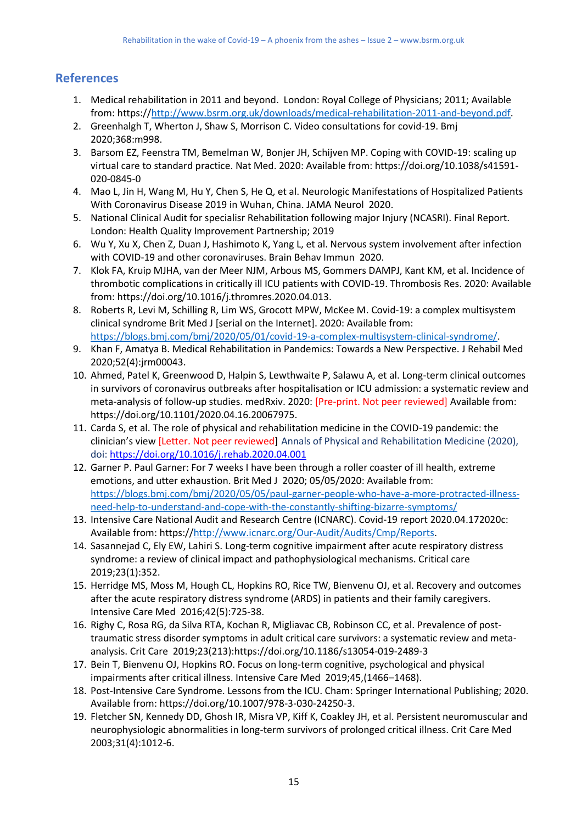### **References**

- 1. Medical rehabilitation in 2011 and beyond. London: Royal College of Physicians; 2011; Available from: https:/[/http://www.bsrm.org.uk/downloads/medical-rehabilitation-2011-and-beyond.pdf.](http://www.bsrm.org.uk/downloads/medical-rehabilitation-2011-and-beyond.pdf)
- 2. Greenhalgh T, Wherton J, Shaw S, Morrison C. Video consultations for covid-19. Bmj 2020;368:m998.
- 3. Barsom EZ, Feenstra TM, Bemelman W, Bonjer JH, Schijven MP. Coping with COVID-19: scaling up virtual care to standard practice. Nat Med. 2020: Available from: https://doi.org/10.1038/s41591- 020-0845-0
- 4. Mao L, Jin H, Wang M, Hu Y, Chen S, He Q, et al. Neurologic Manifestations of Hospitalized Patients With Coronavirus Disease 2019 in Wuhan, China. JAMA Neurol 2020.
- 5. National Clinical Audit for specialisr Rehabilitation following major Injury (NCASRI). Final Report. London: Health Quality Improvement Partnership; 2019
- 6. Wu Y, Xu X, Chen Z, Duan J, Hashimoto K, Yang L, et al. Nervous system involvement after infection with COVID-19 and other coronaviruses. Brain Behav Immun 2020.
- 7. Klok FA, Kruip MJHA, van der Meer NJM, Arbous MS, Gommers DAMPJ, Kant KM, et al. Incidence of thrombotic complications in critically ill ICU patients with COVID-19. Thrombosis Res. 2020: Available from: https://doi.org/10.1016/j.thromres.2020.04.013.
- 8. Roberts R, Levi M, Schilling R, Lim WS, Grocott MPW, McKee M. Covid-19: a complex multisystem clinical syndrome Brit Med J [serial on the Internet]. 2020: Available from: [https://blogs.bmj.com/bmj/2020/05/01/covid-19-a-complex-multisystem-clinical-syndrome/.](https://blogs.bmj.com/bmj/2020/05/01/covid-19-a-complex-multisystem-clinical-syndrome/)
- 9. Khan F, Amatya B. Medical Rehabilitation in Pandemics: Towards a New Perspective. J Rehabil Med 2020;52(4):jrm00043.
- 10. Ahmed, Patel K, Greenwood D, Halpin S, Lewthwaite P, Salawu A, et al. Long-term clinical outcomes in survivors of coronavirus outbreaks after hospitalisation or ICU admission: a systematic review and meta-analysis of follow-up studies. medRxiv. 2020: [Pre-print. Not peer reviewed] Available from: https://doi.org/10.1101/2020.04.16.20067975.
- 11. Carda S, et al. The role of physical and rehabilitation medicine in the COVID-19 pandemic: the clinician's view [Letter. Not peer reviewed] Annals of Physical and Rehabilitation Medicine (2020), doi:<https://doi.org/10.1016/j.rehab.2020.04.001>
- 12. Garner P. Paul Garner: For 7 weeks I have been through a roller coaster of ill health, extreme emotions, and utter exhaustion. Brit Med J 2020; 05/05/2020: Available from: [https://blogs.bmj.com/bmj/2020/05/05/paul-garner-people-who-have-a-more-protracted-illness](https://blogs.bmj.com/bmj/2020/05/05/paul-garner-people-who-have-a-more-protracted-illness-need-help-to-understand-and-cope-with-the-constantly-shifting-bizarre-symptoms/)[need-help-to-understand-and-cope-with-the-constantly-shifting-bizarre-symptoms/](https://blogs.bmj.com/bmj/2020/05/05/paul-garner-people-who-have-a-more-protracted-illness-need-help-to-understand-and-cope-with-the-constantly-shifting-bizarre-symptoms/)
- 13. Intensive Care National Audit and Research Centre (ICNARC). Covid-19 report 2020.04.172020c: Available from: https:/[/http://www.icnarc.org/Our-Audit/Audits/Cmp/Reports.](http://www.icnarc.org/Our-Audit/Audits/Cmp/Reports)
- 14. Sasannejad C, Ely EW, Lahiri S. Long-term cognitive impairment after acute respiratory distress syndrome: a review of clinical impact and pathophysiological mechanisms. Critical care 2019;23(1):352.
- 15. Herridge MS, Moss M, Hough CL, Hopkins RO, Rice TW, Bienvenu OJ, et al. Recovery and outcomes after the acute respiratory distress syndrome (ARDS) in patients and their family caregivers. Intensive Care Med 2016;42(5):725-38.
- 16. Righy C, Rosa RG, da Silva RTA, Kochan R, Migliavac CB, Robinson CC, et al. Prevalence of posttraumatic stress disorder symptoms in adult critical care survivors: a systematic review and metaanalysis. Crit Care 2019;23(213):https://doi.org/10.1186/s13054-019-2489-3
- 17. Bein T, Bienvenu OJ, Hopkins RO. Focus on long-term cognitive, psychological and physical impairments after critical illness. Intensive Care Med 2019;45,(1466–1468).
- 18. Post-Intensive Care Syndrome. Lessons from the ICU. Cham: Springer International Publishing; 2020. Available from: https://doi.org/10.1007/978-3-030-24250-3.
- 19. Fletcher SN, Kennedy DD, Ghosh IR, Misra VP, Kiff K, Coakley JH, et al. Persistent neuromuscular and neurophysiologic abnormalities in long-term survivors of prolonged critical illness. Crit Care Med 2003;31(4):1012-6.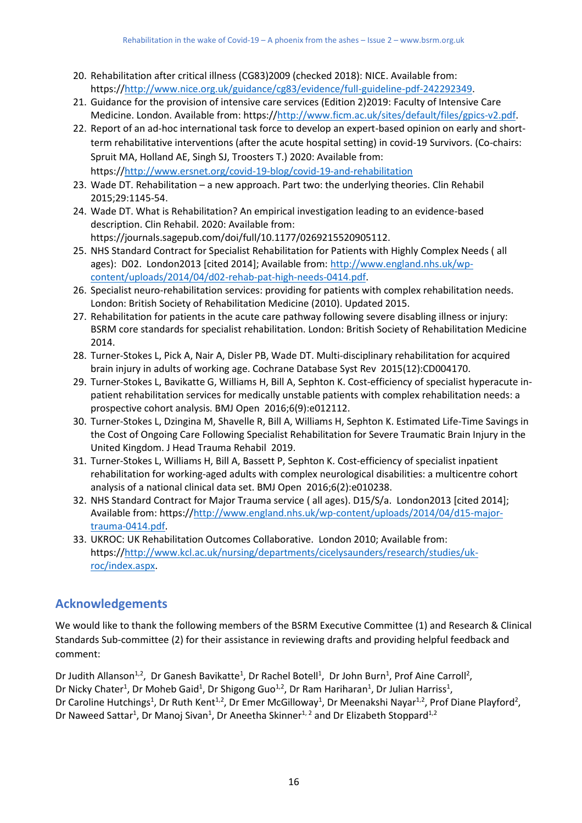- 20. Rehabilitation after critical illness (CG83)2009 (checked 2018): NICE. Available from: https:/[/http://www.nice.org.uk/guidance/cg83/evidence/full-guideline-pdf-242292349.](http://www.nice.org.uk/guidance/cg83/evidence/full-guideline-pdf-242292349)
- 21. Guidance for the provision of intensive care services (Edition 2)2019: Faculty of Intensive Care Medicine. London. Available from: https:/[/http://www.ficm.ac.uk/sites/default/files/gpics-v2.pdf.](http://www.ficm.ac.uk/sites/default/files/gpics-v2.pdf)
- 22. Report of an ad-hoc international task force to develop an expert-based opinion on early and shortterm rehabilitative interventions (after the acute hospital setting) in covid-19 Survivors. (Co-chairs: Spruit MA, Holland AE, Singh SJ, Troosters T.) 2020: Available from: https:/[/http://www.ersnet.org/covid-19-blog/covid-19-and-rehabilitation](http://www.ersnet.org/covid-19-blog/covid-19-and-rehabilitation)
- 23. Wade DT. Rehabilitation a new approach. Part two: the underlying theories. Clin Rehabil 2015;29:1145-54.
- 24. Wade DT. What is Rehabilitation? An empirical investigation leading to an evidence-based description. Clin Rehabil. 2020: Available from: https://journals.sagepub.com/doi/full/10.1177/0269215520905112.
- 25. NHS Standard Contract for Specialist Rehabilitation for Patients with Highly Complex Needs ( all ages): D02. London2013 [cited 2014]; Available from[: http://www.england.nhs.uk/wp](http://www.england.nhs.uk/wp-content/uploads/2014/04/d02-rehab-pat-high-needs-0414.pdf)[content/uploads/2014/04/d02-rehab-pat-high-needs-0414.pdf.](http://www.england.nhs.uk/wp-content/uploads/2014/04/d02-rehab-pat-high-needs-0414.pdf)
- 26. Specialist neuro-rehabilitation services: providing for patients with complex rehabilitation needs. London: British Society of Rehabilitation Medicine (2010). Updated 2015.
- 27. Rehabilitation for patients in the acute care pathway following severe disabling illness or injury: BSRM core standards for specialist rehabilitation. London: British Society of Rehabilitation Medicine 2014.
- 28. Turner-Stokes L, Pick A, Nair A, Disler PB, Wade DT. Multi-disciplinary rehabilitation for acquired brain injury in adults of working age. Cochrane Database Syst Rev 2015(12):CD004170.
- 29. Turner-Stokes L, Bavikatte G, Williams H, Bill A, Sephton K. Cost-efficiency of specialist hyperacute inpatient rehabilitation services for medically unstable patients with complex rehabilitation needs: a prospective cohort analysis. BMJ Open 2016;6(9):e012112.
- 30. Turner-Stokes L, Dzingina M, Shavelle R, Bill A, Williams H, Sephton K. Estimated Life-Time Savings in the Cost of Ongoing Care Following Specialist Rehabilitation for Severe Traumatic Brain Injury in the United Kingdom. J Head Trauma Rehabil 2019.
- 31. Turner-Stokes L, Williams H, Bill A, Bassett P, Sephton K. Cost-efficiency of specialist inpatient rehabilitation for working-aged adults with complex neurological disabilities: a multicentre cohort analysis of a national clinical data set. BMJ Open 2016;6(2):e010238.
- 32. NHS Standard Contract for Major Trauma service ( all ages). D15/S/a. London2013 [cited 2014]; Available from: https:/[/http://www.england.nhs.uk/wp-content/uploads/2014/04/d15-major](http://www.england.nhs.uk/wp-content/uploads/2014/04/d15-major-trauma-0414.pdf)[trauma-0414.pdf.](http://www.england.nhs.uk/wp-content/uploads/2014/04/d15-major-trauma-0414.pdf)
- 33. UKROC: UK Rehabilitation Outcomes Collaborative. London 2010; Available from: https:/[/http://www.kcl.ac.uk/nursing/departments/cicelysaunders/research/studies/uk](http://www.kcl.ac.uk/nursing/departments/cicelysaunders/research/studies/uk-roc/index.aspx)[roc/index.aspx.](http://www.kcl.ac.uk/nursing/departments/cicelysaunders/research/studies/uk-roc/index.aspx)

### **Acknowledgements**

We would like to thank the following members of the BSRM Executive Committee (1) and Research & Clinical Standards Sub-committee (2) for their assistance in reviewing drafts and providing helpful feedback and comment:

Dr Judith Allanson<sup>1,2</sup>, Dr Ganesh Bavikatte<sup>1</sup>, Dr Rachel Botell<sup>1</sup>, Dr John Burn<sup>1</sup>, Prof Aine Carroll<sup>2</sup>, Dr Nicky Chater<sup>1</sup>, Dr Moheb Gaid<sup>1</sup>, Dr Shigong Guo<sup>1,2</sup>, Dr Ram Hariharan<sup>1</sup>, Dr Julian Harriss<sup>1</sup>, Dr Caroline Hutchings<sup>1</sup>, Dr Ruth Kent<sup>1,2</sup>, Dr Emer McGilloway<sup>1</sup>, Dr Meenakshi Nayar<sup>1,2</sup>, Prof Diane Playford<sup>2</sup>, Dr Naweed Sattar<sup>1</sup>, Dr Manoj Sivan<sup>1</sup>, Dr Aneetha Skinner<sup>1, 2</sup> and Dr Elizabeth Stoppard<sup>1,2</sup>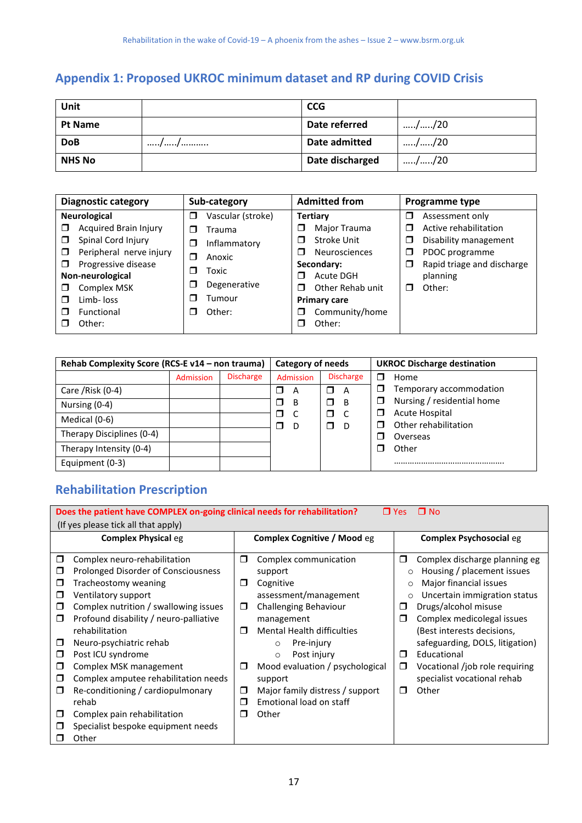# **Appendix 1: Proposed UKROC minimum dataset and RP during COVID Crisis**

| Unit           |     | <b>CCG</b>      |                         |
|----------------|-----|-----------------|-------------------------|
| <b>Pt Name</b> |     | Date referred   | $\ldots$ / $\ldots$ /20 |
| <b>DoB</b>     | / / | Date admitted   | $\ldots$ / $\ldots$ /20 |
| <b>NHS No</b>  |     | Date discharged | $\ldots$ / $\ldots$ /20 |

| <b>Diagnostic category</b>        | Sub-category           | <b>Admitted from</b>      | Programme type                  |  |  |  |
|-----------------------------------|------------------------|---------------------------|---------------------------------|--|--|--|
| <b>Neurological</b>               | Vascular (stroke)<br>□ | <b>Tertiary</b>           | Assessment only<br>□            |  |  |  |
| <b>Acquired Brain Injury</b><br>□ | Trauma<br>П            | Major Trauma<br>⊐         | Active rehabilitation           |  |  |  |
| Spinal Cord Injury<br>$\Box$      | Inflammatory<br>$\Box$ | Stroke Unit<br>□          | Disability management<br>$\Box$ |  |  |  |
| Peripheral nerve injury<br>□      | ⊓<br>Anoxic            | <b>Neurosciences</b><br>⊓ | PDOC programme                  |  |  |  |
| Progressive disease<br>□          |                        | Secondary:                | Rapid triage and discharge<br>ш |  |  |  |
| Non-neurological                  | Toxic<br>П             | Acute DGH<br>П            | planning                        |  |  |  |
| Complex MSK<br>П                  | Degenerative<br>П      | Other Rehab unit<br>⊓     | Other:                          |  |  |  |
| Limb-loss<br>П                    | Tumour<br>H            | <b>Primary care</b>       |                                 |  |  |  |
| Functional<br>П                   | Other:<br>ш            | Community/home<br>□       |                                 |  |  |  |
| Other:                            |                        | Other:<br>n.              |                                 |  |  |  |

| Rehab Complexity Score (RCS-E v14 - non trauma) |                  | Category of needs |           | <b>UKROC Discharge destination</b> |                                 |  |
|-------------------------------------------------|------------------|-------------------|-----------|------------------------------------|---------------------------------|--|
|                                                 | <b>Admission</b> | <b>Discharge</b>  | Admission | <b>Discharge</b>                   | ┑<br>Home                       |  |
| Care / Risk $(0-4)$                             |                  |                   | ⊓<br>A    | ⊓<br>A                             | Temporary accommodation<br>□    |  |
| Nursing $(0-4)$                                 |                  |                   | B<br>П    | П<br>-B                            | Nursing / residential home<br>□ |  |
| Medical (0-6)                                   |                  |                   | □         | ⊓                                  | Acute Hospital<br>П             |  |
| Therapy Disciplines (0-4)                       |                  |                   | D         | ⊓<br>D                             | Other rehabilitation<br>┓       |  |
|                                                 |                  |                   |           |                                    | Overseas<br>J.                  |  |
| Therapy Intensity (0-4)                         |                  |                   |           |                                    | Other<br>۰                      |  |
| Equipment (0-3)                                 |                  |                   |           |                                    |                                 |  |

# **Rehabilitation Prescription**

| Does the patient have COMPLEX on-going clinical needs for rehabilitation?<br>$\Box$ No<br>$\Box$ Yes |                                                                                                                                                                                                                                                                                                                                                                                                                                                                       |                                           |                                                                                                                                                                                                                                                                                                                                   |                                                                  |                                                                                                                                                                                                                                                                                                                                       |  |  |  |
|------------------------------------------------------------------------------------------------------|-----------------------------------------------------------------------------------------------------------------------------------------------------------------------------------------------------------------------------------------------------------------------------------------------------------------------------------------------------------------------------------------------------------------------------------------------------------------------|-------------------------------------------|-----------------------------------------------------------------------------------------------------------------------------------------------------------------------------------------------------------------------------------------------------------------------------------------------------------------------------------|------------------------------------------------------------------|---------------------------------------------------------------------------------------------------------------------------------------------------------------------------------------------------------------------------------------------------------------------------------------------------------------------------------------|--|--|--|
|                                                                                                      | (If yes please tick all that apply)                                                                                                                                                                                                                                                                                                                                                                                                                                   |                                           |                                                                                                                                                                                                                                                                                                                                   |                                                                  |                                                                                                                                                                                                                                                                                                                                       |  |  |  |
|                                                                                                      | <b>Complex Physical eg</b>                                                                                                                                                                                                                                                                                                                                                                                                                                            | <b>Complex Cognitive / Mood eg</b>        |                                                                                                                                                                                                                                                                                                                                   |                                                                  | <b>Complex Psychosocial eg</b>                                                                                                                                                                                                                                                                                                        |  |  |  |
| □<br>□<br>□<br>□<br>□<br>□<br>□<br>□<br>◘<br>◘<br>□                                                  | Complex neuro-rehabilitation<br>Prolonged Disorder of Consciousness<br>Tracheostomy weaning<br>Ventilatory support<br>Complex nutrition / swallowing issues<br>Profound disability / neuro-palliative<br>rehabilitation<br>Neuro-psychiatric rehab<br>Post ICU syndrome<br>Complex MSK management<br>Complex amputee rehabilitation needs<br>Re-conditioning / cardiopulmonary<br>rehab<br>Complex pain rehabilitation<br>Specialist bespoke equipment needs<br>Other | Ω<br>□<br>$\Box$<br>П<br>□<br>□<br>П<br>П | Complex communication<br>support<br>Cognitive<br>assessment/management<br><b>Challenging Behaviour</b><br>management<br><b>Mental Health difficulties</b><br>Pre-injury<br>$\circ$<br>Post injury<br>$\circ$<br>Mood evaluation / psychological<br>support<br>Major family distress / support<br>Emotional load on staff<br>Other | Ω<br>$\circ$<br>$\circ$<br>$\circ$<br>□<br>Ω<br>$\Box$<br>□<br>П | Complex discharge planning eg<br>Housing / placement issues<br>Major financial issues<br>Uncertain immigration status<br>Drugs/alcohol misuse<br>Complex medicolegal issues<br>(Best interests decisions,<br>safeguarding, DOLS, litigation)<br>Educational<br>Vocational /job role requiring<br>specialist vocational rehab<br>Other |  |  |  |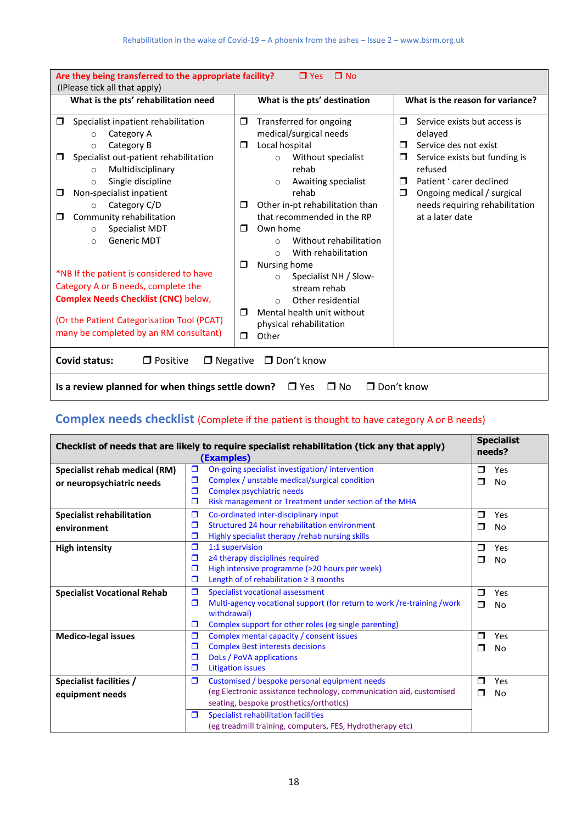| $\Box$ No<br>Are they being transferred to the appropriate facility?<br>$\Box$ Yes<br>(IPlease tick all that apply)                                                                                                                                                                                                                                                                                                                                                                                                                                                                                 |                                                                                                                                                                                                                                                                                                                                                                                                                                                                                                                                                  |                                                                                                                                                                                                                                                                               |  |  |  |  |  |
|-----------------------------------------------------------------------------------------------------------------------------------------------------------------------------------------------------------------------------------------------------------------------------------------------------------------------------------------------------------------------------------------------------------------------------------------------------------------------------------------------------------------------------------------------------------------------------------------------------|--------------------------------------------------------------------------------------------------------------------------------------------------------------------------------------------------------------------------------------------------------------------------------------------------------------------------------------------------------------------------------------------------------------------------------------------------------------------------------------------------------------------------------------------------|-------------------------------------------------------------------------------------------------------------------------------------------------------------------------------------------------------------------------------------------------------------------------------|--|--|--|--|--|
| What is the pts' rehabilitation need                                                                                                                                                                                                                                                                                                                                                                                                                                                                                                                                                                | What is the pts' destination                                                                                                                                                                                                                                                                                                                                                                                                                                                                                                                     | What is the reason for variance?                                                                                                                                                                                                                                              |  |  |  |  |  |
| Specialist inpatient rehabilitation<br>◘<br>Category A<br>$\bigcirc$<br>Category B<br>$\circ$<br>Specialist out-patient rehabilitation<br>□<br>Multidisciplinary<br>$\Omega$<br>Single discipline<br>$\circ$<br>Non-specialist inpatient<br>□<br>Category C/D<br>$\circ$<br>Community rehabilitation<br>□<br>Specialist MDT<br>$\Omega$<br><b>Generic MDT</b><br>$\Omega$<br>*NB If the patient is considered to have<br>Category A or B needs, complete the<br><b>Complex Needs Checklist (CNC) below,</b><br>(Or the Patient Categorisation Tool (PCAT)<br>many be completed by an RM consultant) | $\Box$<br>Transferred for ongoing<br>medical/surgical needs<br>Local hospital<br>$\Box$<br>Without specialist<br>$\circ$<br>rehab<br>Awaiting specialist<br>$\circ$<br>rehab<br>Other in-pt rehabilitation than<br>□<br>that recommended in the RP<br>Own home<br>⊓<br>Without rehabilitation<br>$\Omega$<br>With rehabilitation<br>$\circ$<br>Nursing home<br>$\Box$<br>Specialist NH / Slow-<br>$\circ$<br>stream rehab<br>Other residential<br>$\Omega$<br>Mental health unit without<br>$\Box$<br>physical rehabilitation<br>Other<br>$\Box$ | $\Box$<br>Service exists but access is<br>delayed<br>Service des not exist<br>$\Box$<br>$\Box$<br>Service exists but funding is<br>refused<br>Patient ' carer declined<br>$\Box$<br>$\Box$<br>Ongoing medical / surgical<br>needs requiring rehabilitation<br>at a later date |  |  |  |  |  |
| <b>Covid status:</b><br>$\Box$ Don't know<br>$\Box$ Positive<br>$\Box$ Negative                                                                                                                                                                                                                                                                                                                                                                                                                                                                                                                     |                                                                                                                                                                                                                                                                                                                                                                                                                                                                                                                                                  |                                                                                                                                                                                                                                                                               |  |  |  |  |  |
| Is a review planned for when things settle down?<br>$\Box$ Don't know<br>$\Box$ Yes<br>$\square$ No                                                                                                                                                                                                                                                                                                                                                                                                                                                                                                 |                                                                                                                                                                                                                                                                                                                                                                                                                                                                                                                                                  |                                                                                                                                                                                                                                                                               |  |  |  |  |  |

# **Complex needs checklist** (Complete if the patient is thought to have category A or B needs)

| <b>Specialist</b><br>Checklist of needs that are likely to require specialist rehabilitation (tick any that apply)<br>needs?<br>(Examples) |        |                                                                                       |        |     |  |
|--------------------------------------------------------------------------------------------------------------------------------------------|--------|---------------------------------------------------------------------------------------|--------|-----|--|
| Specialist rehab medical (RM)                                                                                                              | $\Box$ | On-going specialist investigation/intervention                                        | $\Box$ | Yes |  |
| or neuropsychiatric needs                                                                                                                  | $\Box$ | Complex / unstable medical/surgical condition                                         | $\Box$ | No  |  |
|                                                                                                                                            | $\Box$ | Complex psychiatric needs                                                             |        |     |  |
|                                                                                                                                            | Ο      | Risk management or Treatment under section of the MHA                                 |        |     |  |
| <b>Specialist rehabilitation</b>                                                                                                           | $\Box$ | Co-ordinated inter-disciplinary input                                                 | $\Box$ | Yes |  |
| environment                                                                                                                                | $\Box$ | Structured 24 hour rehabilitation environment                                         | П      | No  |  |
|                                                                                                                                            | $\Box$ | Highly specialist therapy /rehab nursing skills                                       |        |     |  |
| <b>High intensity</b>                                                                                                                      | $\Box$ | 1:1 supervision                                                                       | $\Box$ | Yes |  |
|                                                                                                                                            | $\Box$ | $\geq$ 4 therapy disciplines required                                                 | П      | No  |  |
|                                                                                                                                            | $\Box$ | High intensive programme (>20 hours per week)                                         |        |     |  |
|                                                                                                                                            | $\Box$ | Length of of rehabilitation $\geq$ 3 months                                           |        |     |  |
| <b>Specialist Vocational Rehab</b>                                                                                                         | $\Box$ | <b>Specialist vocational assessment</b>                                               | $\Box$ | Yes |  |
|                                                                                                                                            | α      | Multi-agency vocational support (for return to work /re-training /work<br>withdrawal) | $\Box$ | No  |  |
|                                                                                                                                            | $\Box$ | Complex support for other roles (eg single parenting)                                 |        |     |  |
| <b>Medico-legal issues</b>                                                                                                                 | $\Box$ | Complex mental capacity / consent issues                                              | $\Box$ | Yes |  |
|                                                                                                                                            | $\Box$ | <b>Complex Best interests decisions</b>                                               | ⊓      | No  |  |
|                                                                                                                                            |        | DoLs / PoVA applications                                                              |        |     |  |
|                                                                                                                                            | $\Box$ | <b>Litigation issues</b>                                                              |        |     |  |
| Specialist facilities /                                                                                                                    | $\Box$ | Customised / bespoke personal equipment needs                                         | $\Box$ | Yes |  |
| equipment needs                                                                                                                            |        | (eg Electronic assistance technology, communication aid, customised                   | $\Box$ | No  |  |
|                                                                                                                                            |        | seating, bespoke prosthetics/orthotics)                                               |        |     |  |
| $\Box$                                                                                                                                     |        | <b>Specialist rehabilitation facilities</b>                                           |        |     |  |
|                                                                                                                                            |        | (eg treadmill training, computers, FES, Hydrotherapy etc)                             |        |     |  |